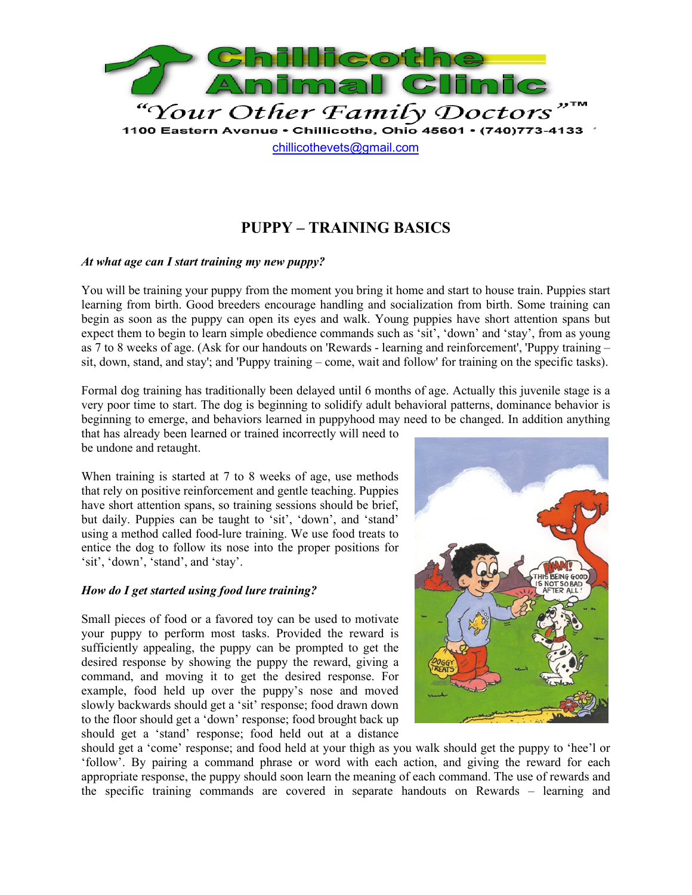

# **PUPPY – TRAINING BASICS**

### *At what age can I start training my new puppy?*

You will be training your puppy from the moment you bring it home and start to house train. Puppies start learning from birth. Good breeders encourage handling and socialization from birth. Some training can begin as soon as the puppy can open its eyes and walk. Young puppies have short attention spans but expect them to begin to learn simple obedience commands such as 'sit', 'down' and 'stay', from as young as 7 to 8 weeks of age. (Ask for our handouts on 'Rewards - learning and reinforcement', 'Puppy training – sit, down, stand, and stay'; and 'Puppy training – come, wait and follow' for training on the specific tasks).

Formal dog training has traditionally been delayed until 6 months of age. Actually this juvenile stage is a very poor time to start. The dog is beginning to solidify adult behavioral patterns, dominance behavior is beginning to emerge, and behaviors learned in puppyhood may need to be changed. In addition anything

that has already been learned or trained incorrectly will need to be undone and retaught.

When training is started at 7 to 8 weeks of age, use methods that rely on positive reinforcement and gentle teaching. Puppies have short attention spans, so training sessions should be brief, but daily. Puppies can be taught to 'sit', 'down', and 'stand' using a method called food-lure training. We use food treats to entice the dog to follow its nose into the proper positions for 'sit', 'down', 'stand', and 'stay'.

## *How do I get started using food lure training?*

Small pieces of food or a favored toy can be used to motivate your puppy to perform most tasks. Provided the reward is sufficiently appealing, the puppy can be prompted to get the desired response by showing the puppy the reward, giving a command, and moving it to get the desired response. For example, food held up over the puppy's nose and moved slowly backwards should get a 'sit' response; food drawn down to the floor should get a 'down' response; food brought back up should get a 'stand' response; food held out at a distance



should get a 'come' response; and food held at your thigh as you walk should get the puppy to 'hee'l or 'follow'. By pairing a command phrase or word with each action, and giving the reward for each appropriate response, the puppy should soon learn the meaning of each command. The use of rewards and the specific training commands are covered in separate handouts on Rewards – learning and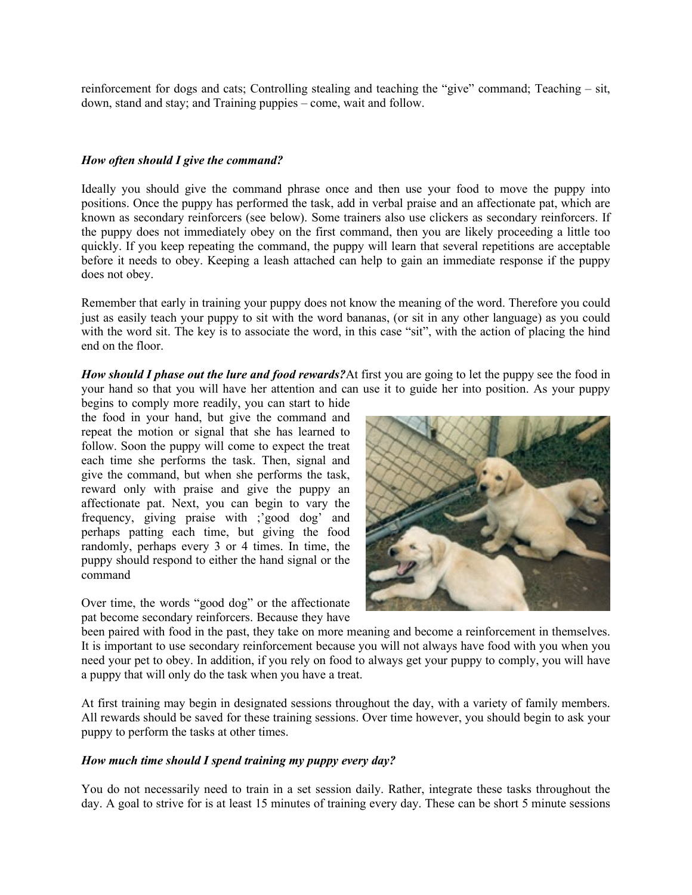reinforcement for dogs and cats; Controlling stealing and teaching the "give" command; Teaching – sit, down, stand and stay; and Training puppies – come, wait and follow.

#### *How often should I give the command?*

Ideally you should give the command phrase once and then use your food to move the puppy into positions. Once the puppy has performed the task, add in verbal praise and an affectionate pat, which are known as secondary reinforcers (see below). Some trainers also use clickers as secondary reinforcers. If the puppy does not immediately obey on the first command, then you are likely proceeding a little too quickly. If you keep repeating the command, the puppy will learn that several repetitions are acceptable before it needs to obey. Keeping a leash attached can help to gain an immediate response if the puppy does not obey.

Remember that early in training your puppy does not know the meaning of the word. Therefore you could just as easily teach your puppy to sit with the word bananas, (or sit in any other language) as you could with the word sit. The key is to associate the word, in this case "sit", with the action of placing the hind end on the floor.

*How should I phase out the lure and food rewards?*At first you are going to let the puppy see the food in your hand so that you will have her attention and can use it to guide her into position. As your puppy

begins to comply more readily, you can start to hide the food in your hand, but give the command and repeat the motion or signal that she has learned to follow. Soon the puppy will come to expect the treat each time she performs the task. Then, signal and give the command, but when she performs the task, reward only with praise and give the puppy an affectionate pat. Next, you can begin to vary the frequency, giving praise with ;'good dog' and perhaps patting each time, but giving the food randomly, perhaps every 3 or 4 times. In time, the puppy should respond to either the hand signal or the command

Over time, the words "good dog" or the affectionate pat become secondary reinforcers. Because they have



been paired with food in the past, they take on more meaning and become a reinforcement in themselves. It is important to use secondary reinforcement because you will not always have food with you when you need your pet to obey. In addition, if you rely on food to always get your puppy to comply, you will have a puppy that will only do the task when you have a treat.

At first training may begin in designated sessions throughout the day, with a variety of family members. All rewards should be saved for these training sessions. Over time however, you should begin to ask your puppy to perform the tasks at other times.

#### *How much time should I spend training my puppy every day?*

You do not necessarily need to train in a set session daily. Rather, integrate these tasks throughout the day. A goal to strive for is at least 15 minutes of training every day. These can be short 5 minute sessions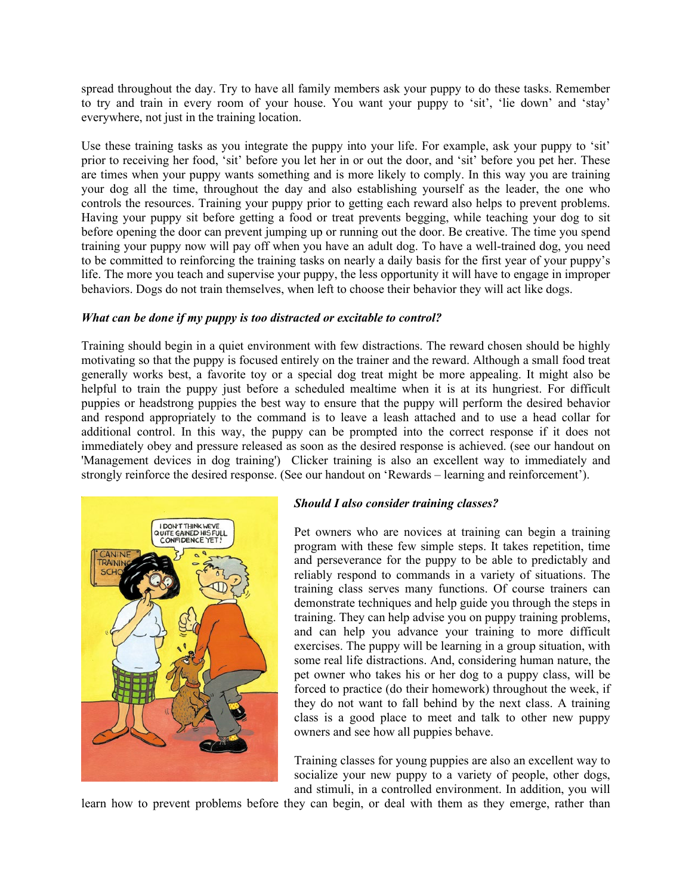spread throughout the day. Try to have all family members ask your puppy to do these tasks. Remember to try and train in every room of your house. You want your puppy to 'sit', 'lie down' and 'stay' everywhere, not just in the training location.

Use these training tasks as you integrate the puppy into your life. For example, ask your puppy to 'sit' prior to receiving her food, 'sit' before you let her in or out the door, and 'sit' before you pet her. These are times when your puppy wants something and is more likely to comply. In this way you are training your dog all the time, throughout the day and also establishing yourself as the leader, the one who controls the resources. Training your puppy prior to getting each reward also helps to prevent problems. Having your puppy sit before getting a food or treat prevents begging, while teaching your dog to sit before opening the door can prevent jumping up or running out the door. Be creative. The time you spend training your puppy now will pay off when you have an adult dog. To have a well-trained dog, you need to be committed to reinforcing the training tasks on nearly a daily basis for the first year of your puppy's life. The more you teach and supervise your puppy, the less opportunity it will have to engage in improper behaviors. Dogs do not train themselves, when left to choose their behavior they will act like dogs.

## *What can be done if my puppy is too distracted or excitable to control?*

Training should begin in a quiet environment with few distractions. The reward chosen should be highly motivating so that the puppy is focused entirely on the trainer and the reward. Although a small food treat generally works best, a favorite toy or a special dog treat might be more appealing. It might also be helpful to train the puppy just before a scheduled mealtime when it is at its hungriest. For difficult puppies or headstrong puppies the best way to ensure that the puppy will perform the desired behavior and respond appropriately to the command is to leave a leash attached and to use a head collar for additional control. In this way, the puppy can be prompted into the correct response if it does not immediately obey and pressure released as soon as the desired response is achieved. (see our handout on 'Management devices in dog training') Clicker training is also an excellent way to immediately and strongly reinforce the desired response. (See our handout on 'Rewards – learning and reinforcement').



## *Should I also consider training classes?*

Pet owners who are novices at training can begin a training program with these few simple steps. It takes repetition, time and perseverance for the puppy to be able to predictably and reliably respond to commands in a variety of situations. The training class serves many functions. Of course trainers can demonstrate techniques and help guide you through the steps in training. They can help advise you on puppy training problems, and can help you advance your training to more difficult exercises. The puppy will be learning in a group situation, with some real life distractions. And, considering human nature, the pet owner who takes his or her dog to a puppy class, will be forced to practice (do their homework) throughout the week, if they do not want to fall behind by the next class. A training class is a good place to meet and talk to other new puppy owners and see how all puppies behave.

Training classes for young puppies are also an excellent way to socialize your new puppy to a variety of people, other dogs, and stimuli, in a controlled environment. In addition, you will

learn how to prevent problems before they can begin, or deal with them as they emerge, rather than